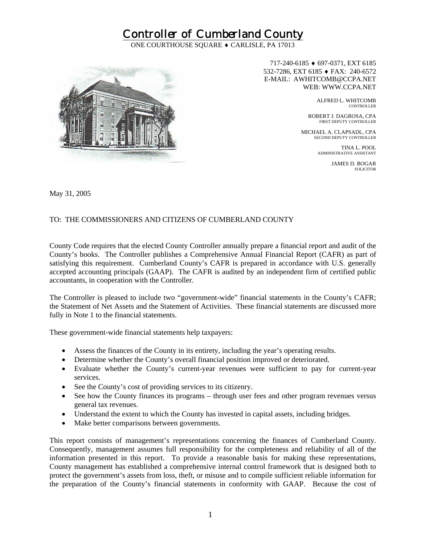## Controller of Cumberland County

ONE COURTHOUSE SQUARE ♦ CARLISLE, PA 17013



717-240-6185 ♦ 697-0371, EXT 6185 532-7286, EXT 6185 ♦ FAX: 240-6572 E-MAIL: AWHITCOMB@CCPA.NET WEB: WWW.CCPA.NET

ALFRED L. WHITCOMB CONTROLLER

ROBERT J. DAGROSA, CPA FIRST DEPUTY CONTROLLER

MICHAEL A. CLAPSADL, CPA SECOND DEPUTY CONTROLLER

TINA L. POOL ADMINISTRATIVE ASSISTANT

JAMES D. BOGAR SOLICITOR

May 31, 2005

## TO: THE COMMISSIONERS AND CITIZENS OF CUMBERLAND COUNTY

County Code requires that the elected County Controller annually prepare a financial report and audit of the County's books. The Controller publishes a Comprehensive Annual Financial Report (CAFR) as part of satisfying this requirement. Cumberland County's CAFR is prepared in accordance with U.S. generally accepted accounting principals (GAAP). The CAFR is audited by an independent firm of certified public accountants, in cooperation with the Controller.

The Controller is pleased to include two "government-wide" financial statements in the County's CAFR; the Statement of Net Assets and the Statement of Activities. These financial statements are discussed more fully in Note 1 to the financial statements.

These government-wide financial statements help taxpayers:

- Assess the finances of the County in its entirety, including the year's operating results.
- Determine whether the County's overall financial position improved or deteriorated.
- Evaluate whether the County's current-year revenues were sufficient to pay for current-year services.
- See the County's cost of providing services to its citizenry.
- See how the County finances its programs through user fees and other program revenues versus general tax revenues.
- Understand the extent to which the County has invested in capital assets, including bridges.
- Make better comparisons between governments.

This report consists of management's representations concerning the finances of Cumberland County. Consequently, management assumes full responsibility for the completeness and reliability of all of the information presented in this report. To provide a reasonable basis for making these representations, County management has established a comprehensive internal control framework that is designed both to protect the government's assets from loss, theft, or misuse and to compile sufficient reliable information for the preparation of the County's financial statements in conformity with GAAP. Because the cost of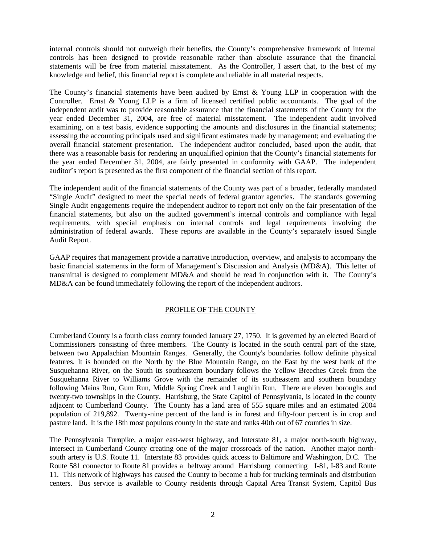internal controls should not outweigh their benefits, the County's comprehensive framework of internal controls has been designed to provide reasonable rather than absolute assurance that the financial statements will be free from material misstatement. As the Controller, I assert that, to the best of my knowledge and belief, this financial report is complete and reliable in all material respects.

The County's financial statements have been audited by Ernst & Young LLP in cooperation with the Controller. Ernst & Young LLP is a firm of licensed certified public accountants. The goal of the independent audit was to provide reasonable assurance that the financial statements of the County for the year ended December 31, 2004, are free of material misstatement. The independent audit involved examining, on a test basis, evidence supporting the amounts and disclosures in the financial statements; assessing the accounting principals used and significant estimates made by management; and evaluating the overall financial statement presentation. The independent auditor concluded, based upon the audit, that there was a reasonable basis for rendering an unqualified opinion that the County's financial statements for the year ended December 31, 2004, are fairly presented in conformity with GAAP. The independent auditor's report is presented as the first component of the financial section of this report.

The independent audit of the financial statements of the County was part of a broader, federally mandated "Single Audit" designed to meet the special needs of federal grantor agencies. The standards governing Single Audit engagements require the independent auditor to report not only on the fair presentation of the financial statements, but also on the audited government's internal controls and compliance with legal requirements, with special emphasis on internal controls and legal requirements involving the administration of federal awards. These reports are available in the County's separately issued Single Audit Report.

GAAP requires that management provide a narrative introduction, overview, and analysis to accompany the basic financial statements in the form of Management's Discussion and Analysis (MD&A). This letter of transmittal is designed to complement MD&A and should be read in conjunction with it. The County's MD&A can be found immediately following the report of the independent auditors.

### PROFILE OF THE COUNTY

Cumberland County is a fourth class county founded January 27, 1750. It is governed by an elected Board of Commissioners consisting of three members. The County is located in the south central part of the state, between two Appalachian Mountain Ranges. Generally, the County's boundaries follow definite physical features. It is bounded on the North by the Blue Mountain Range, on the East by the west bank of the Susquehanna River, on the South its southeastern boundary follows the Yellow Breeches Creek from the Susquehanna River to Williams Grove with the remainder of its southeastern and southern boundary following Mains Run, Gum Run, Middle Spring Creek and Laughlin Run. There are eleven boroughs and twenty-two townships in the County. Harrisburg, the State Capitol of Pennsylvania, is located in the county adjacent to Cumberland County. The County has a land area of 555 square miles and an estimated 2004 population of 219,892. Twenty-nine percent of the land is in forest and fifty-four percent is in crop and pasture land. It is the 18th most populous county in the state and ranks 40th out of 67 counties in size.

The Pennsylvania Turnpike, a major east-west highway, and Interstate 81, a major north-south highway, intersect in Cumberland County creating one of the major crossroads of the nation. Another major northsouth artery is U.S. Route 11. Interstate 83 provides quick access to Baltimore and Washington, D.C. The Route 581 connector to Route 81 provides a beltway around Harrisburg connecting I-81, I-83 and Route 11. This network of highways has caused the County to become a hub for trucking terminals and distribution centers. Bus service is available to County residents through Capital Area Transit System, Capitol Bus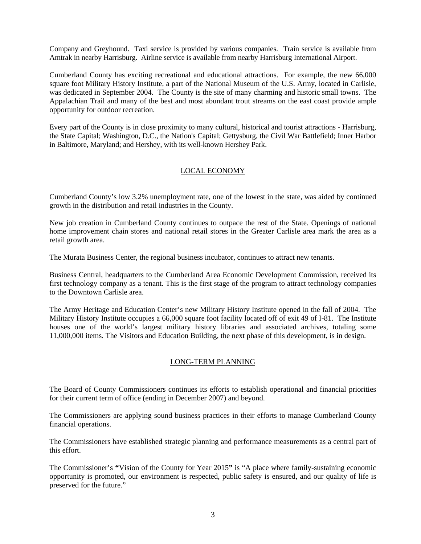Company and Greyhound. Taxi service is provided by various companies. Train service is available from Amtrak in nearby Harrisburg. Airline service is available from nearby Harrisburg International Airport.

Cumberland County has exciting recreational and educational attractions. For example, the new 66,000 square foot Military History Institute, a part of the National Museum of the U.S. Army, located in Carlisle, was dedicated in September 2004. The County is the site of many charming and historic small towns. The Appalachian Trail and many of the best and most abundant trout streams on the east coast provide ample opportunity for outdoor recreation.

Every part of the County is in close proximity to many cultural, historical and tourist attractions - Harrisburg, the State Capital; Washington, D.C., the Nation's Capital; Gettysburg, the Civil War Battlefield; Inner Harbor in Baltimore, Maryland; and Hershey, with its well-known Hershey Park.

### LOCAL ECONOMY

Cumberland County's low 3.2% unemployment rate, one of the lowest in the state, was aided by continued growth in the distribution and retail industries in the County.

New job creation in Cumberland County continues to outpace the rest of the State. Openings of national home improvement chain stores and national retail stores in the Greater Carlisle area mark the area as a retail growth area.

The Murata Business Center, the regional business incubator, continues to attract new tenants.

Business Central, headquarters to the Cumberland Area Economic Development Commission, received its first technology company as a tenant. This is the first stage of the program to attract technology companies to the Downtown Carlisle area.

The Army Heritage and Education Center's new Military History Institute opened in the fall of 2004. The Military History Institute occupies a 66,000 square foot facility located off of exit 49 of I-81. The Institute houses one of the world's largest military history libraries and associated archives, totaling some 11,000,000 items. The Visitors and Education Building, the next phase of this development, is in design.

#### LONG-TERM PLANNING

The Board of County Commissioners continues its efforts to establish operational and financial priorities for their current term of office (ending in December 2007) and beyond.

The Commissioners are applying sound business practices in their efforts to manage Cumberland County financial operations.

The Commissioners have established strategic planning and performance measurements as a central part of this effort.

The Commissioner's **"**Vision of the County for Year 2015**"** is "A place where family-sustaining economic opportunity is promoted, our environment is respected, public safety is ensured, and our quality of life is preserved for the future."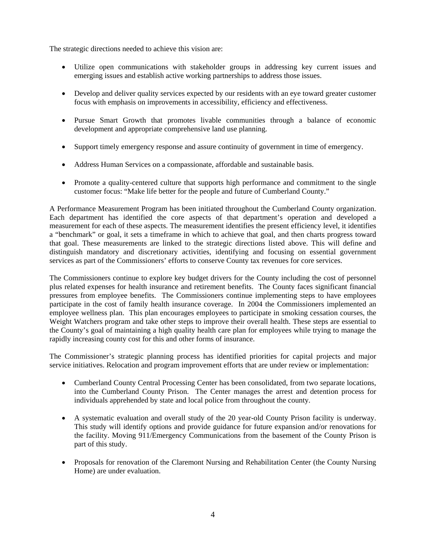The strategic directions needed to achieve this vision are:

- Utilize open communications with stakeholder groups in addressing key current issues and emerging issues and establish active working partnerships to address those issues.
- Develop and deliver quality services expected by our residents with an eye toward greater customer focus with emphasis on improvements in accessibility, efficiency and effectiveness.
- Pursue Smart Growth that promotes livable communities through a balance of economic development and appropriate comprehensive land use planning.
- Support timely emergency response and assure continuity of government in time of emergency.
- Address Human Services on a compassionate, affordable and sustainable basis.
- Promote a quality-centered culture that supports high performance and commitment to the single customer focus: "Make life better for the people and future of Cumberland County."

A Performance Measurement Program has been initiated throughout the Cumberland County organization. Each department has identified the core aspects of that department's operation and developed a measurement for each of these aspects. The measurement identifies the present efficiency level, it identifies a "benchmark" or goal, it sets a timeframe in which to achieve that goal, and then charts progress toward that goal. These measurements are linked to the strategic directions listed above. This will define and distinguish mandatory and discretionary activities, identifying and focusing on essential government services as part of the Commissioners' efforts to conserve County tax revenues for core services.

The Commissioners continue to explore key budget drivers for the County including the cost of personnel plus related expenses for health insurance and retirement benefits. The County faces significant financial pressures from employee benefits. The Commissioners continue implementing steps to have employees participate in the cost of family health insurance coverage. In 2004 the Commissioners implemented an employee wellness plan. This plan encourages employees to participate in smoking cessation courses, the Weight Watchers program and take other steps to improve their overall health. These steps are essential to the County's goal of maintaining a high quality health care plan for employees while trying to manage the rapidly increasing county cost for this and other forms of insurance.

The Commissioner's strategic planning process has identified priorities for capital projects and major service initiatives. Relocation and program improvement efforts that are under review or implementation:

- Cumberland County Central Processing Center has been consolidated, from two separate locations, into the Cumberland County Prison. The Center manages the arrest and detention process for individuals apprehended by state and local police from throughout the county.
- A systematic evaluation and overall study of the 20 year-old County Prison facility is underway. This study will identify options and provide guidance for future expansion and/or renovations for the facility. Moving 911/Emergency Communications from the basement of the County Prison is part of this study.
- Proposals for renovation of the Claremont Nursing and Rehabilitation Center (the County Nursing Home) are under evaluation.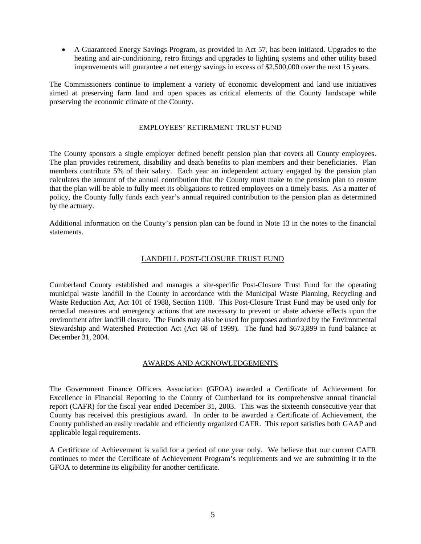• A Guaranteed Energy Savings Program, as provided in Act 57, has been initiated. Upgrades to the heating and air-conditioning, retro fittings and upgrades to lighting systems and other utility based improvements will guarantee a net energy savings in excess of \$2,500,000 over the next 15 years.

The Commissioners continue to implement a variety of economic development and land use initiatives aimed at preserving farm land and open spaces as critical elements of the County landscape while preserving the economic climate of the County.

#### EMPLOYEES' RETIREMENT TRUST FUND

The County sponsors a single employer defined benefit pension plan that covers all County employees. The plan provides retirement, disability and death benefits to plan members and their beneficiaries. Plan members contribute 5% of their salary. Each year an independent actuary engaged by the pension plan calculates the amount of the annual contribution that the County must make to the pension plan to ensure that the plan will be able to fully meet its obligations to retired employees on a timely basis. As a matter of policy, the County fully funds each year's annual required contribution to the pension plan as determined by the actuary.

Additional information on the County's pension plan can be found in Note 13 in the notes to the financial statements.

### LANDFILL POST-CLOSURE TRUST FUND

Cumberland County established and manages a site-specific Post-Closure Trust Fund for the operating municipal waste landfill in the County in accordance with the Municipal Waste Planning, Recycling and Waste Reduction Act, Act 101 of 1988, Section 1108. This Post-Closure Trust Fund may be used only for remedial measures and emergency actions that are necessary to prevent or abate adverse effects upon the environment after landfill closure. The Funds may also be used for purposes authorized by the Environmental Stewardship and Watershed Protection Act (Act 68 of 1999). The fund had \$673,899 in fund balance at December 31, 2004.

#### AWARDS AND ACKNOWLEDGEMENTS

The Government Finance Officers Association (GFOA) awarded a Certificate of Achievement for Excellence in Financial Reporting to the County of Cumberland for its comprehensive annual financial report (CAFR) for the fiscal year ended December 31, 2003. This was the sixteenth consecutive year that County has received this prestigious award. In order to be awarded a Certificate of Achievement, the County published an easily readable and efficiently organized CAFR. This report satisfies both GAAP and applicable legal requirements.

A Certificate of Achievement is valid for a period of one year only. We believe that our current CAFR continues to meet the Certificate of Achievement Program's requirements and we are submitting it to the GFOA to determine its eligibility for another certificate.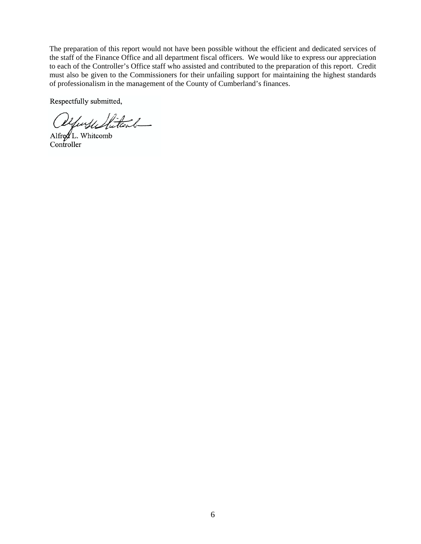The preparation of this report would not have been possible without the efficient and dedicated services of the staff of the Finance Office and all department fiscal officers. We would like to express our appreciation to each of the Controller's Office staff who assisted and contributed to the preparation of this report. Credit must also be given to the Commissioners for their unfailing support for maintaining the highest standards of professionalism in the management of the County of Cumberland's finances.

Respectfully submitted,

yuyu Stitiand-

Alfred L. Whitcomb **Controller**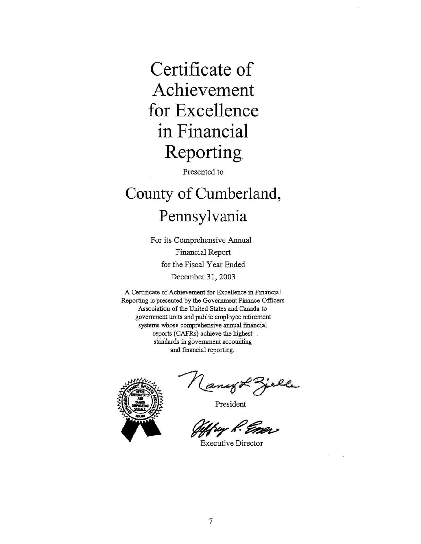# Certificate of Achievement for Excellence in Financial Reporting

Presented to

# County of Cumberland, Pennsylvania

For its Comprehensive Annual Financial Report for the Fiscal Year Ended. December 31, 2003

A Certificate of Achievement for Excellence in Financial Reporting is presented by the Government Finance Officers Association of the United States and Canada to government units and public employee retirement systems whose comprehensive annual financial reports (CAFRs) achieve the highest standards in government accounting and financial reporting.



ango Zielle

Sur R. Eners

**Executive Director**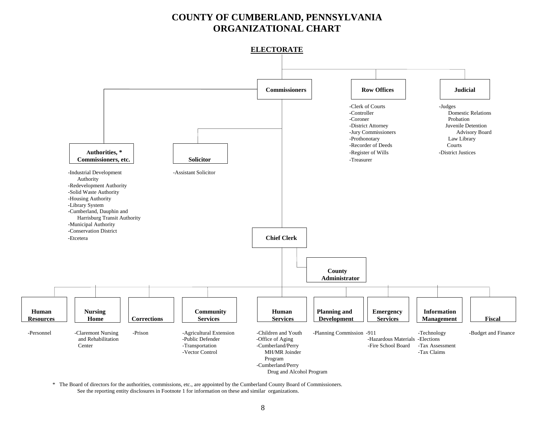## **COUNTY OF CUMBERLAND, PENNSYLVANIA ORGANIZATIONAL CHART**





 \* The Board of directors for the authorities, commissions, etc., are appointed by the Cumberland County Board of Commissioners. See the reporting entity disclosures in Footnote 1 for information on these and similar organizations.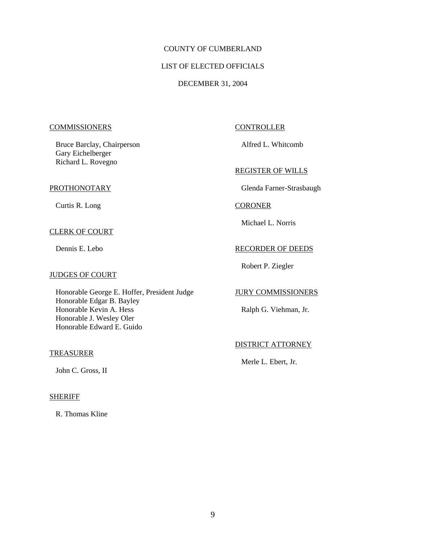## COUNTY OF CUMBERLAND

#### LIST OF ELECTED OFFICIALS

#### DECEMBER 31, 2004

#### COMMISSIONERS CONTROLLER

Bruce Barclay, Chairperson Alfred L. Whitcomb Gary Eichelberger Richard L. Rovegno

Curtis R. Long CORONER

#### CLERK OF COURT

#### JUDGES OF COURT

Honorable George E. Hoffer, President Judge JURY COMMISSIONERS Honorable Edgar B. Bayley Honorable Kevin A. Hess Ralph G. Viehman, Jr. Honorable J. Wesley Oler Honorable Edward E. Guido

#### TREASURER

John C. Gross, II

#### SHERIFF

R. Thomas Kline

#### REGISTER OF WILLS

PROTHONOTARY Glenda Farner-Strasbaugh

Michael L. Norris

#### Dennis E. Lebo RECORDER OF DEEDS

Robert P. Ziegler

#### DISTRICT ATTORNEY

Merle L. Ebert, Jr.